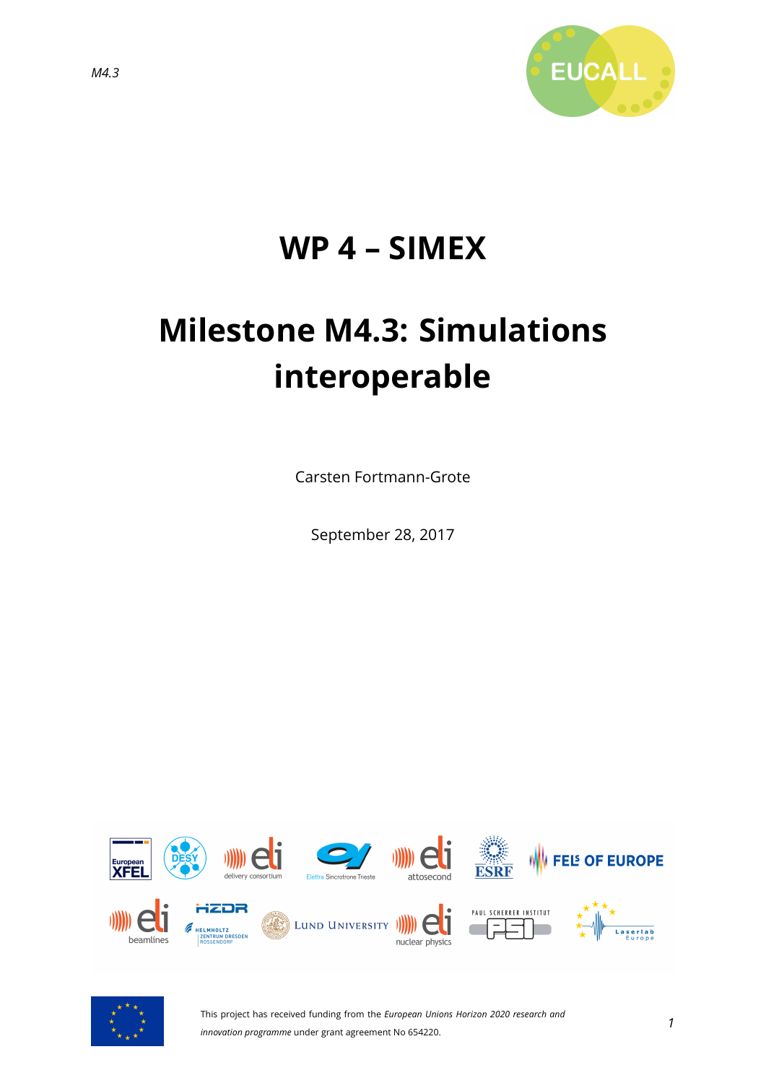

## **WP 4 – SIMEX**

# **Milestone M4.3: Simulations interoperable**

Carsten Fortmann-Grote

September 28, 2017





This project has received funding from the *European Unions Horizon 2020 research and innovation programme* under grant agreement No 654220.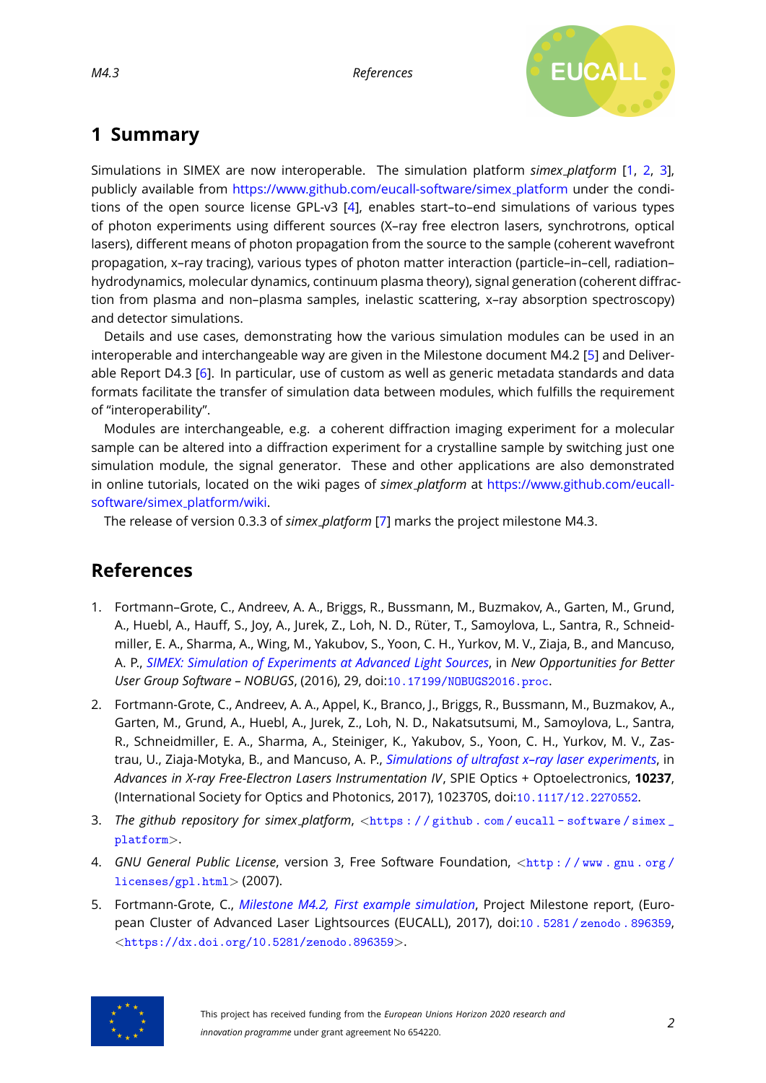

### **1 Summary**

Simulations in SIMEX are now interoperable. The simulation platform *simex platform* [\[1,](#page-1-0) [2,](#page-1-1) [3\]](#page-1-2), publicly available from [https://www.github.com/eucall-software/simex](https://www.github.com/eucall-software/simex_platform)\_platform under the conditions of the open source license GPL-v3 [\[4\]](#page-1-3), enables start–to–end simulations of various types of photon experiments using different sources (X–ray free electron lasers, synchrotrons, optical lasers), different means of photon propagation from the source to the sample (coherent wavefront propagation, x–ray tracing), various types of photon matter interaction (particle–in–cell, radiation– hydrodynamics, molecular dynamics, continuum plasma theory), signal generation (coherent diffraction from plasma and non–plasma samples, inelastic scattering, x–ray absorption spectroscopy) and detector simulations.

Details and use cases, demonstrating how the various simulation modules can be used in an interoperable and interchangeable way are given in the Milestone document M4.2 [\[5\]](#page-1-4) and Deliverable Report D4.3 [\[6\]](#page-2-0). In particular, use of custom as well as generic metadata standards and data formats facilitate the transfer of simulation data between modules, which fulfills the requirement of "interoperability".

Modules are interchangeable, e.g. a coherent diffraction imaging experiment for a molecular sample can be altered into a diffraction experiment for a crystalline sample by switching just one simulation module, the signal generator. These and other applications are also demonstrated in online tutorials, located on the wiki pages of *simex platform* at [https://www.github.com/eucall](https://www.github.com/eucall-software/simex_platform/wiki)[software/simex](https://www.github.com/eucall-software/simex_platform/wiki) platform/wiki.

The release of version 0.3.3 of *simex platform* [\[7\]](#page-2-1) marks the project milestone M4.3.

#### **References**

- <span id="page-1-0"></span>1. Fortmann–Grote, C., Andreev, A. A., Briggs, R., Bussmann, M., Buzmakov, A., Garten, M., Grund, A., Huebl, A., Hauff, S., Joy, A., Jurek, Z., Loh, N. D., Rüter, T., Samoylova, L., Santra, R., Schneidmiller, E. A., Sharma, A., Wing, M., Yakubov, S., Yoon, C. H., Yurkov, M. V., Ziaja, B., and Mancuso, A. P., *[SIMEX: Simulation of Experiments at Advanced Light Sources](http://dx.doi.org/10.17199/NOBUGS2016.proc)*, in *New Opportunities for Better User Group Software – NOBUGS*, (2016), 29, doi:[10.17199/NOBUGS2016.proc](http://dx.doi.org/10.17199/NOBUGS2016.proc).
- <span id="page-1-1"></span>2. Fortmann-Grote, C., Andreev, A. A., Appel, K., Branco, J., Briggs, R., Bussmann, M., Buzmakov, A., Garten, M., Grund, A., Huebl, A., Jurek, Z., Loh, N. D., Nakatsutsumi, M., Samoylova, L., Santra, R., Schneidmiller, E. A., Sharma, A., Steiniger, K., Yakubov, S., Yoon, C. H., Yurkov, M. V., Zastrau, U., Ziaja-Motyka, B., and Mancuso, A. P., *[Simulations of ultrafast x–ray laser experiments](http://dx.doi.org/10.1117/12.2270552)*, in *Advances in X-ray Free-Electron Lasers Instrumentation IV*, SPIE Optics + Optoelectronics, **10237**, (International Society for Optics and Photonics, 2017), 102370S, doi:[10.1117/12.2270552](http://dx.doi.org/10.1117/12.2270552).
- <span id="page-1-2"></span>3. *The github repository for simex\_platform*, <https : //github.com/eucall-software/simex\_ [platform](https://github.com/eucall-software/simex_platform)>.
- <span id="page-1-3"></span>4. *GNU General Public License*, version 3, Free Software Foundation, <http://www.gnu.org/ [licenses/gpl.html](http://www.gnu.org/licenses/gpl.html)> (2007).
- <span id="page-1-4"></span>5. Fortmann-Grote, C., *[Milestone M4.2, First example simulation](http://dx.doi.org/10.5281/zenodo.896359)*, Project Milestone report, (European Cluster of Advanced Laser Lightsources (EUCALL), 2017), doi:[10 . 5281 / zenodo . 896359](http://dx.doi.org/10.5281/zenodo.896359), <<https://dx.doi.org/10.5281/zenodo.896359>>.